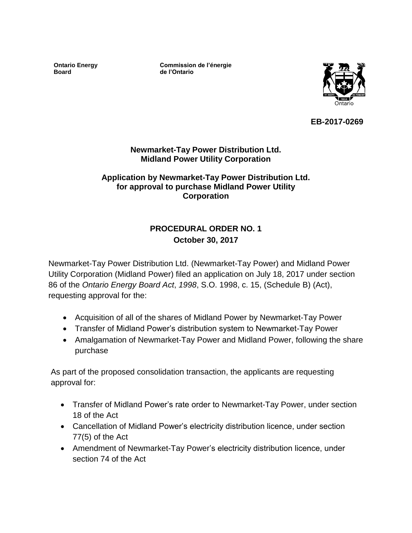**Ontario Energy Board**

**Commission de l'énergie de l'Ontario**



**EB-2017-0269**

## **Newmarket-Tay Power Distribution Ltd. Midland Power Utility Corporation**

## **Application by Newmarket-Tay Power Distribution Ltd. for approval to purchase Midland Power Utility Corporation**

# **PROCEDURAL ORDER NO. 1 October 30, 2017**

Newmarket-Tay Power Distribution Ltd. (Newmarket-Tay Power) and Midland Power Utility Corporation (Midland Power) filed an application on July 18, 2017 under section 86 of the *Ontario Energy Board Act*, *1998*, S.O. 1998, c. 15, (Schedule B) (Act), requesting approval for the:

- Acquisition of all of the shares of Midland Power by Newmarket-Tay Power
- Transfer of Midland Power's distribution system to Newmarket-Tay Power
- Amalgamation of Newmarket-Tay Power and Midland Power, following the share purchase

As part of the proposed consolidation transaction, the applicants are requesting approval for:

- Transfer of Midland Power's rate order to Newmarket-Tay Power, under section 18 of the Act
- Cancellation of Midland Power's electricity distribution licence, under section 77(5) of the Act
- Amendment of Newmarket-Tay Power's electricity distribution licence, under section 74 of the Act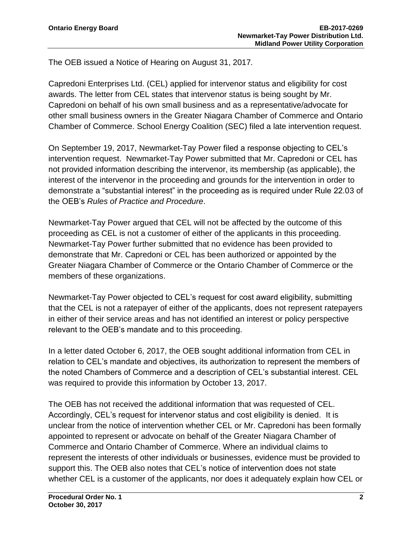The OEB issued a Notice of Hearing on August 31, 2017*.*

Capredoni Enterprises Ltd. (CEL) applied for intervenor status and eligibility for cost awards. The letter from CEL states that intervenor status is being sought by Mr. Capredoni on behalf of his own small business and as a representative/advocate for other small business owners in the Greater Niagara Chamber of Commerce and Ontario Chamber of Commerce. School Energy Coalition (SEC) filed a late intervention request.

On September 19, 2017, Newmarket-Tay Power filed a response objecting to CEL's intervention request. Newmarket-Tay Power submitted that Mr. Capredoni or CEL has not provided information describing the intervenor, its membership (as applicable), the interest of the intervenor in the proceeding and grounds for the intervention in order to demonstrate a "substantial interest" in the proceeding as is required under Rule 22.03 of the OEB's *Rules of Practice and Procedure*.

Newmarket-Tay Power argued that CEL will not be affected by the outcome of this proceeding as CEL is not a customer of either of the applicants in this proceeding. Newmarket-Tay Power further submitted that no evidence has been provided to demonstrate that Mr. Capredoni or CEL has been authorized or appointed by the Greater Niagara Chamber of Commerce or the Ontario Chamber of Commerce or the members of these organizations.

Newmarket-Tay Power objected to CEL's request for cost award eligibility, submitting that the CEL is not a ratepayer of either of the applicants, does not represent ratepayers in either of their service areas and has not identified an interest or policy perspective relevant to the OEB's mandate and to this proceeding.

In a letter dated October 6, 2017, the OEB sought additional information from CEL in relation to CEL's mandate and objectives, its authorization to represent the members of the noted Chambers of Commerce and a description of CEL's substantial interest. CEL was required to provide this information by October 13, 2017.

The OEB has not received the additional information that was requested of CEL. Accordingly, CEL's request for intervenor status and cost eligibility is denied. It is unclear from the notice of intervention whether CEL or Mr. Capredoni has been formally appointed to represent or advocate on behalf of the Greater Niagara Chamber of Commerce and Ontario Chamber of Commerce. Where an individual claims to represent the interests of other individuals or businesses, evidence must be provided to support this. The OEB also notes that CEL's notice of intervention does not state whether CEL is a customer of the applicants, nor does it adequately explain how CEL or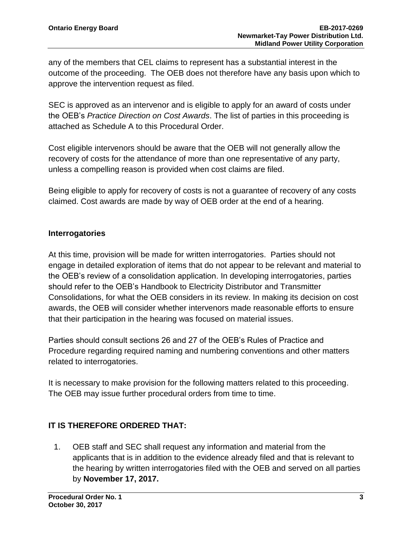any of the members that CEL claims to represent has a substantial interest in the outcome of the proceeding. The OEB does not therefore have any basis upon which to approve the intervention request as filed.

SEC is approved as an intervenor and is eligible to apply for an award of costs under the OEB's *Practice Direction on Cost Awards*. The list of parties in this proceeding is attached as Schedule A to this Procedural Order.

Cost eligible intervenors should be aware that the OEB will not generally allow the recovery of costs for the attendance of more than one representative of any party, unless a compelling reason is provided when cost claims are filed.

Being eligible to apply for recovery of costs is not a guarantee of recovery of any costs claimed. Cost awards are made by way of OEB order at the end of a hearing.

# **Interrogatories**

At this time, provision will be made for written interrogatories. Parties should not engage in detailed exploration of items that do not appear to be relevant and material to the OEB's review of a consolidation application. In developing interrogatories, parties should refer to the OEB's Handbook to Electricity Distributor and Transmitter Consolidations, for what the OEB considers in its review. In making its decision on cost awards, the OEB will consider whether intervenors made reasonable efforts to ensure that their participation in the hearing was focused on material issues.

Parties should consult sections 26 and 27 of the OEB's Rules of Practice and Procedure regarding required naming and numbering conventions and other matters related to interrogatories.

It is necessary to make provision for the following matters related to this proceeding. The OEB may issue further procedural orders from time to time.

# **IT IS THEREFORE ORDERED THAT:**

1. OEB staff and SEC shall request any information and material from the applicants that is in addition to the evidence already filed and that is relevant to the hearing by written interrogatories filed with the OEB and served on all parties by **November 17, 2017.**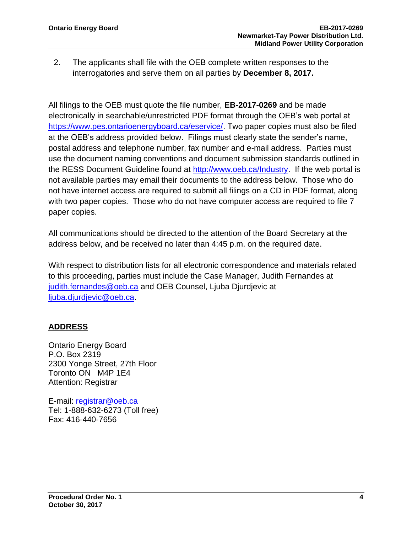2. The applicants shall file with the OEB complete written responses to the interrogatories and serve them on all parties by **December 8, 2017.**

All filings to the OEB must quote the file number, **EB-2017-0269** and be made electronically in searchable/unrestricted PDF format through the OEB's web portal at [https://www.pes.ontarioenergyboard.ca/eservice/.](https://www.pes.ontarioenergyboard.ca/eservice/) Two paper copies must also be filed at the OEB's address provided below. Filings must clearly state the sender's name, postal address and telephone number, fax number and e-mail address. Parties must use the document naming conventions and document submission standards outlined in the RESS Document Guideline found at [http://www.oeb.ca/Industry.](http://www.oeb.ca/Industry) If the web portal is not available parties may email their documents to the address below. Those who do not have internet access are required to submit all filings on a CD in PDF format, along with two paper copies. Those who do not have computer access are required to file 7 paper copies.

All communications should be directed to the attention of the Board Secretary at the address below, and be received no later than 4:45 p.m. on the required date.

With respect to distribution lists for all electronic correspondence and materials related to this proceeding, parties must include the Case Manager, Judith Fernandes at [judith.fernandes@oeb.ca](mailto:judith.fernandes@oeb.ca) and OEB Counsel, Ljuba Djurdjevic at [ljuba.djurdjevic@oeb.ca.](mailto:ljuba.djurdjevic@oeb.ca)

# **ADDRESS**

Ontario Energy Board P.O. Box 2319 2300 Yonge Street, 27th Floor Toronto ON M4P 1E4 Attention: Registrar

E-mail: [registrar@oeb.ca](mailto:registrar@oeb.ca) Tel: 1-888-632-6273 (Toll free) Fax: 416-440-7656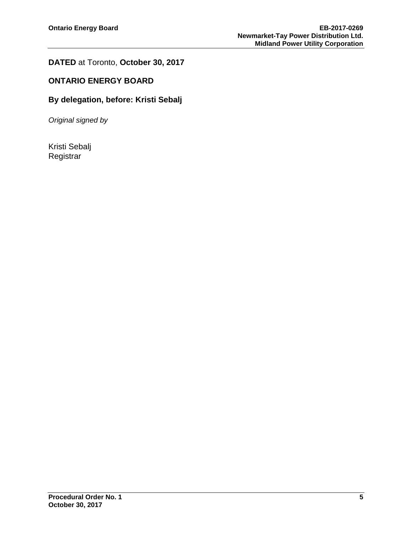# **DATED** at Toronto, **October 30, 2017**

## **ONTARIO ENERGY BOARD**

## **By delegation, before: Kristi Sebalj**

*Original signed by*

Kristi Sebalj Registrar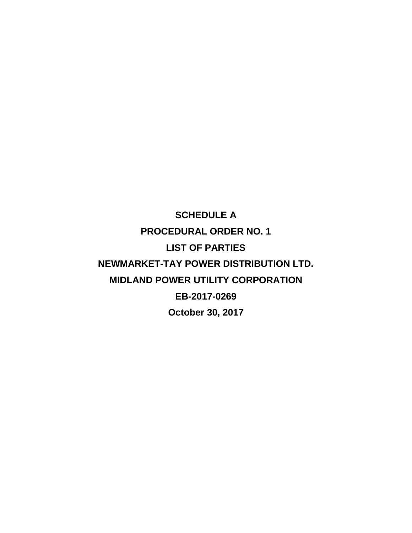**SCHEDULE A PROCEDURAL ORDER NO. 1 LIST OF PARTIES NEWMARKET-TAY POWER DISTRIBUTION LTD. MIDLAND POWER UTILITY CORPORATION EB-2017-0269 October 30, 2017**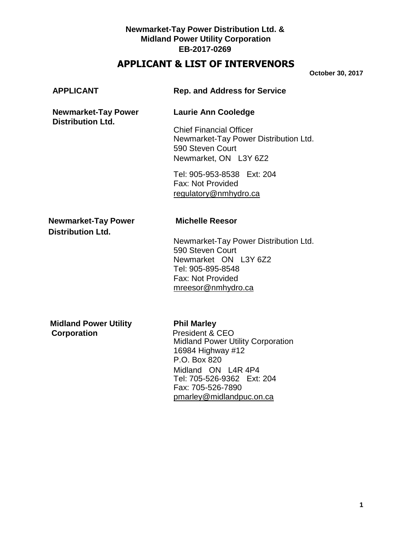## **Newmarket-Tay Power Distribution Ltd. & Midland Power Utility Corporation EB-2017-0269**

# **APPLICANT & LIST OF INTERVENORS**

**October 30, 2017**

| <b>APPLICANT</b>                                       | <b>Rep. and Address for Service</b>                                                                                                                                                                                         |
|--------------------------------------------------------|-----------------------------------------------------------------------------------------------------------------------------------------------------------------------------------------------------------------------------|
| <b>Newmarket-Tay Power</b><br><b>Distribution Ltd.</b> | <b>Laurie Ann Cooledge</b>                                                                                                                                                                                                  |
|                                                        | <b>Chief Financial Officer</b><br>Newmarket-Tay Power Distribution Ltd.<br>590 Steven Court<br>Newmarket, ON L3Y 6Z2                                                                                                        |
|                                                        | Tel: 905-953-8538 Ext: 204<br>Fax: Not Provided<br>regulatory@nmhydro.ca                                                                                                                                                    |
| <b>Newmarket-Tay Power</b><br><b>Distribution Ltd.</b> | <b>Michelle Reesor</b>                                                                                                                                                                                                      |
|                                                        | Newmarket-Tay Power Distribution Ltd.<br>590 Steven Court<br>Newmarket ON L3Y 6Z2<br>Tel: 905-895-8548<br>Fax: Not Provided<br>mreesor@nmhydro.ca                                                                           |
| <b>Midland Power Utility</b><br>Corporation            | <b>Phil Marley</b><br>President & CEO<br><b>Midland Power Utility Corporation</b><br>16984 Highway #12<br>P.O. Box 820<br>Midland ON L4R 4P4<br>Tel: 705-526-9362 Ext: 204<br>Fax: 705-526-7890<br>pmarley@midlandpuc.on.ca |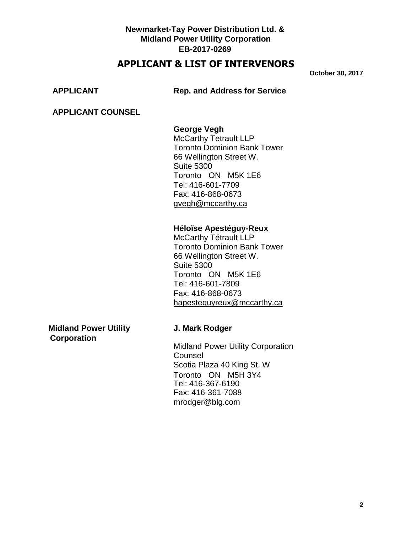## **Newmarket-Tay Power Distribution Ltd. & Midland Power Utility Corporation EB-2017-0269**

# **APPLICANT & LIST OF INTERVENORS**

**October 30, 2017**

**APPLICANT Rep. and Address for Service**

## **APPLICANT COUNSEL**

## **George Vegh**

McCarthy Tetrault LLP Toronto Dominion Bank Tower 66 Wellington Street W. Suite 5300 Toronto ON M5K 1E6 Tel: 416-601-7709 Fax: 416-868-0673 [gvegh@mccarthy.ca](mailto:gvegh@mccarthy.ca)

### **Héloïse Apestéguy-Reux**

McCarthy Tétrault LLP Toronto Dominion Bank Tower 66 Wellington Street W. Suite 5300 Toronto ON M5K 1E6 Tel: 416-601-7809 Fax: 416-868-0673 [hapesteguyreux@mccarthy.ca](mailto:hapesteguyreux@mccarthy.ca)

**Midland Power Utility Gladies Convertsed J. Mark Rodger Corporation**

Midland Power Utility Corporation **Counsel** Scotia Plaza 40 King St. W Toronto ON M5H 3Y4 Tel: 416-367-6190 Fax: 416-361-7088 [mrodger@blg.com](mailto:mrodger@blg.com)